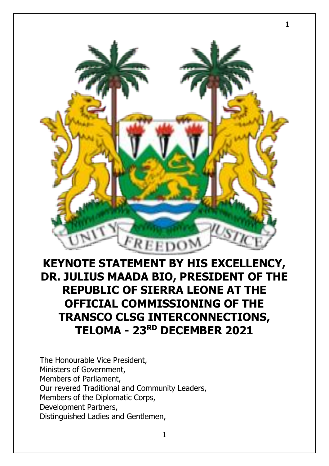

**1**

## **KEYNOTE STATEMENT BY HIS EXCELLENCY, DR. JULIUS MAADA BIO, PRESIDENT OF THE REPUBLIC OF SIERRA LEONE AT THE OFFICIAL COMMISSIONING OF THE TRANSCO CLSG INTERCONNECTIONS, TELOMA - 23RD DECEMBER 2021**

The Honourable Vice President, Ministers of Government, Members of Parliament, Our revered Traditional and Community Leaders, Members of the Diplomatic Corps, Development Partners, Distinguished Ladies and Gentlemen,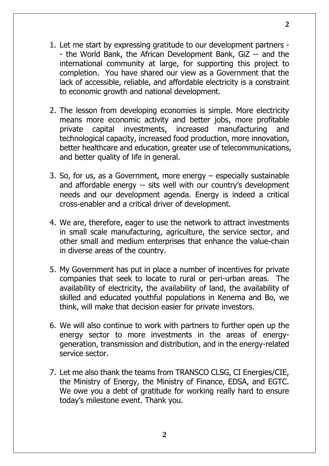- 1. Let me start by expressing gratitude to our development partners - the World Bank, the African Development Bank, GiZ -- and the international community at large, for supporting this project to completion. You have shared our view as a Government that the lack of accessible, reliable, and affordable electricity is a constraint to economic growth and national development.
- 2. The lesson from developing economies is simple. More electricity means more economic activity and better jobs, more profitable private capital investments, increased manufacturing and technological capacity, increased food production, more innovation, better healthcare and education, greater use of telecommunications, and better quality of life in general.
- 3. So, for us, as a Government, more energy especially sustainable and affordable energy -- sits well with our country's development needs and our development agenda. Energy is indeed a critical cross-enabler and a critical driver of development.
- 4. We are, therefore, eager to use the network to attract investments in small scale manufacturing, agriculture, the service sector, and other small and medium enterprises that enhance the value-chain in diverse areas of the country.
- 5. My Government has put in place a number of incentives for private companies that seek to locate to rural or peri-urban areas. The availability of electricity, the availability of land, the availability of skilled and educated youthful populations in Kenema and Bo, we think, will make that decision easier for private investors.
- 6. We will also continue to work with partners to further open up the energy sector to more investments in the areas of energygeneration, transmission and distribution, and in the energy-related service sector.
- 7. Let me also thank the teams from TRANSCO CLSG, CI Energies/CIE, the Ministry of Energy, the Ministry of Finance, EDSA, and EGTC. We owe you a debt of gratitude for working really hard to ensure today's milestone event. Thank you.